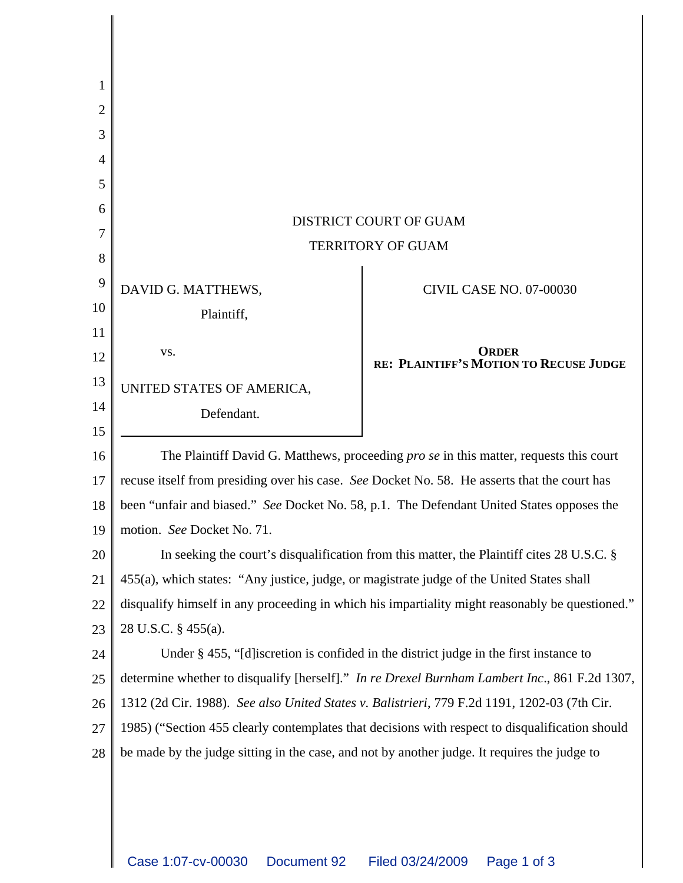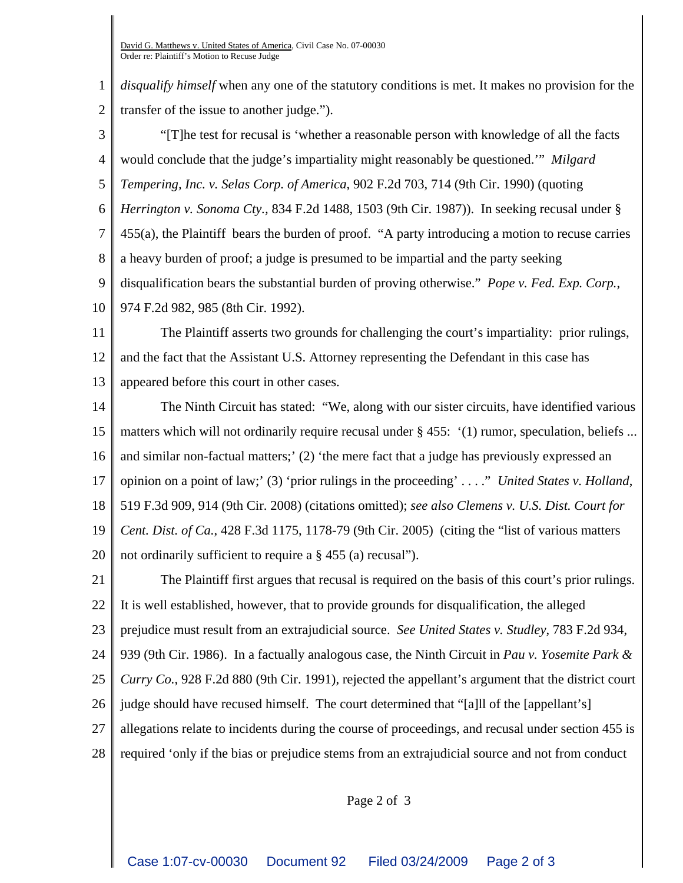1 2 *disqualify himself* when any one of the statutory conditions is met. It makes no provision for the transfer of the issue to another judge.").

3 4 5 6 7 8 9 10 "[T]he test for recusal is 'whether a reasonable person with knowledge of all the facts would conclude that the judge's impartiality might reasonably be questioned.'" *Milgard Tempering, Inc. v. Selas Corp. of America*, 902 F.2d 703, 714 (9th Cir. 1990) (quoting *Herrington v. Sonoma Cty.,* 834 F.2d 1488, 1503 (9th Cir. 1987)). In seeking recusal under § 455(a), the Plaintiff bears the burden of proof. "A party introducing a motion to recuse carries a heavy burden of proof; a judge is presumed to be impartial and the party seeking disqualification bears the substantial burden of proving otherwise." *Pope v. Fed. Exp. Corp.*, 974 F.2d 982, 985 (8th Cir. 1992).

11 12 13 The Plaintiff asserts two grounds for challenging the court's impartiality: prior rulings, and the fact that the Assistant U.S. Attorney representing the Defendant in this case has appeared before this court in other cases.

14 15 16 17 18 19 20 The Ninth Circuit has stated: "We, along with our sister circuits, have identified various matters which will not ordinarily require recusal under  $\S$  455:  $(1)$  rumor, speculation, beliefs ... and similar non-factual matters;' (2) 'the mere fact that a judge has previously expressed an opinion on a point of law;' (3) 'prior rulings in the proceeding' . . . ." *United States v. Holland*, 519 F.3d 909, 914 (9th Cir. 2008) (citations omitted); *see also Clemens v. U.S. Dist. Court for Cent. Dist. of Ca.*, 428 F.3d 1175, 1178-79 (9th Cir. 2005) (citing the "list of various matters not ordinarily sufficient to require a § 455 (a) recusal").

21 22 23 24 25 26 27 28 The Plaintiff first argues that recusal is required on the basis of this court's prior rulings. It is well established, however, that to provide grounds for disqualification, the alleged prejudice must result from an extrajudicial source. *See United States v. Studley*, 783 F.2d 934, 939 (9th Cir. 1986). In a factually analogous case, the Ninth Circuit in *Pau v. Yosemite Park & Curry Co.*, 928 F.2d 880 (9th Cir. 1991), rejected the appellant's argument that the district court judge should have recused himself. The court determined that "[a]ll of the [appellant's] allegations relate to incidents during the course of proceedings, and recusal under section 455 is required 'only if the bias or prejudice stems from an extrajudicial source and not from conduct

Page 2 of 3